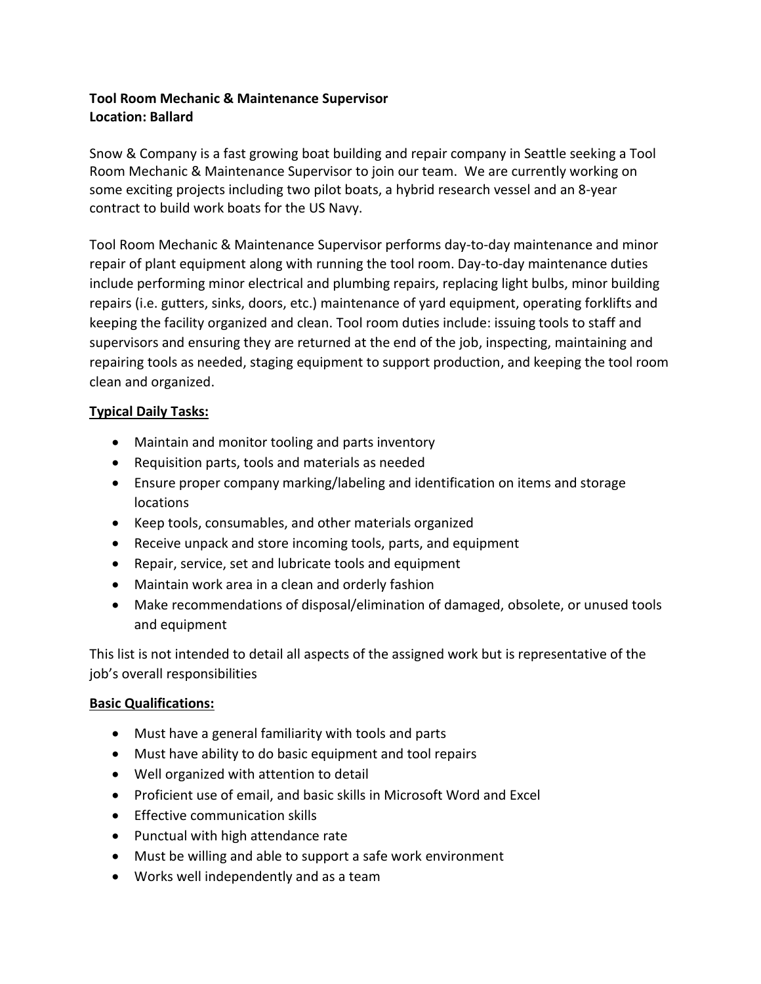# **Tool Room Mechanic & Maintenance Supervisor Location: Ballard**

Snow & Company is a fast growing boat building and repair company in Seattle seeking a Tool Room Mechanic & Maintenance Supervisor to join our team. We are currently working on some exciting projects including two pilot boats, a hybrid research vessel and an 8-year contract to build work boats for the US Navy.

Tool Room Mechanic & Maintenance Supervisor performs day-to-day maintenance and minor repair of plant equipment along with running the tool room. Day-to-day maintenance duties include performing minor electrical and plumbing repairs, replacing light bulbs, minor building repairs (i.e. gutters, sinks, doors, etc.) maintenance of yard equipment, operating forklifts and keeping the facility organized and clean. Tool room duties include: issuing tools to staff and supervisors and ensuring they are returned at the end of the job, inspecting, maintaining and repairing tools as needed, staging equipment to support production, and keeping the tool room clean and organized.

## **Typical Daily Tasks:**

- Maintain and monitor tooling and parts inventory
- Requisition parts, tools and materials as needed
- Ensure proper company marking/labeling and identification on items and storage locations
- Keep tools, consumables, and other materials organized
- Receive unpack and store incoming tools, parts, and equipment
- Repair, service, set and lubricate tools and equipment
- Maintain work area in a clean and orderly fashion
- Make recommendations of disposal/elimination of damaged, obsolete, or unused tools and equipment

This list is not intended to detail all aspects of the assigned work but is representative of the job's overall responsibilities

## **Basic Qualifications:**

- Must have a general familiarity with tools and parts
- Must have ability to do basic equipment and tool repairs
- Well organized with attention to detail
- Proficient use of email, and basic skills in Microsoft Word and Excel
- Effective communication skills
- Punctual with high attendance rate
- Must be willing and able to support a safe work environment
- Works well independently and as a team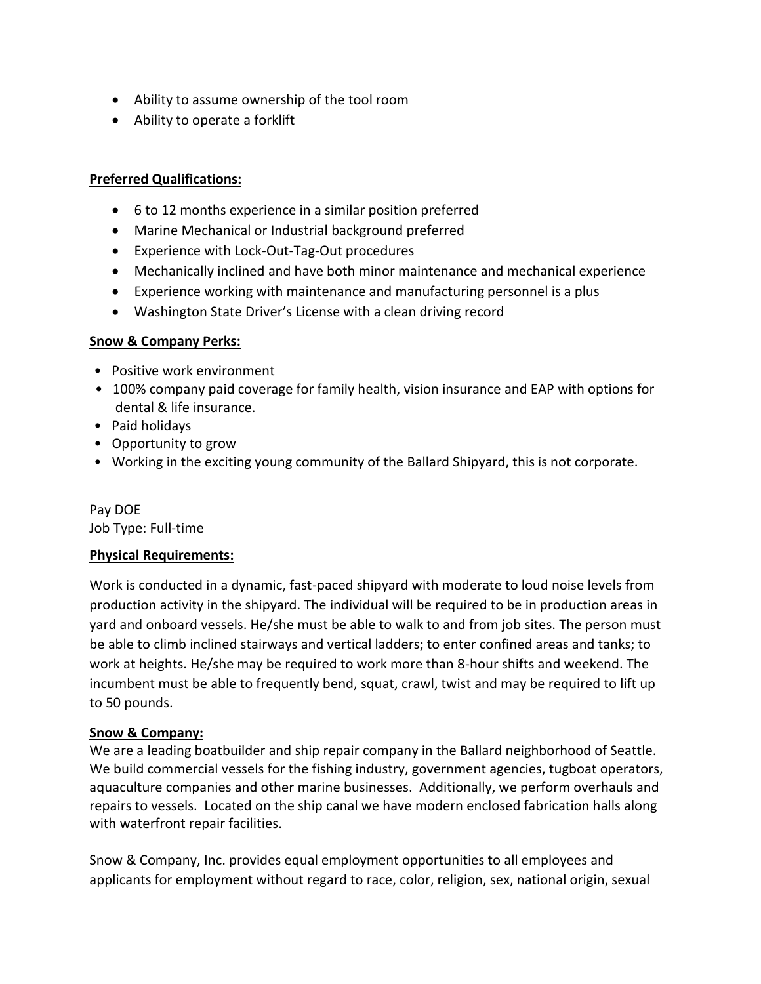- Ability to assume ownership of the tool room
- Ability to operate a forklift

### **Preferred Qualifications:**

- 6 to 12 months experience in a similar position preferred
- Marine Mechanical or Industrial background preferred
- Experience with Lock-Out-Tag-Out procedures
- Mechanically inclined and have both minor maintenance and mechanical experience
- Experience working with maintenance and manufacturing personnel is a plus
- Washington State Driver's License with a clean driving record

#### **Snow & Company Perks:**

- Positive work environment
- 100% company paid coverage for family health, vision insurance and EAP with options for dental & life insurance.
- Paid holidays
- Opportunity to grow
- Working in the exciting young community of the Ballard Shipyard, this is not corporate.

#### Pay DOE Job Type: Full-time

## **Physical Requirements:**

Work is conducted in a dynamic, fast-paced shipyard with moderate to loud noise levels from production activity in the shipyard. The individual will be required to be in production areas in yard and onboard vessels. He/she must be able to walk to and from job sites. The person must be able to climb inclined stairways and vertical ladders; to enter confined areas and tanks; to work at heights. He/she may be required to work more than 8-hour shifts and weekend. The incumbent must be able to frequently bend, squat, crawl, twist and may be required to lift up to 50 pounds.

## **Snow & Company:**

We are a leading boatbuilder and ship repair company in the Ballard neighborhood of Seattle. We build commercial vessels for the fishing industry, government agencies, tugboat operators, aquaculture companies and other marine businesses. Additionally, we perform overhauls and repairs to vessels. Located on the ship canal we have modern enclosed fabrication halls along with waterfront repair facilities.

Snow & Company, Inc. provides equal employment opportunities to all employees and applicants for employment without regard to race, color, religion, sex, national origin, sexual